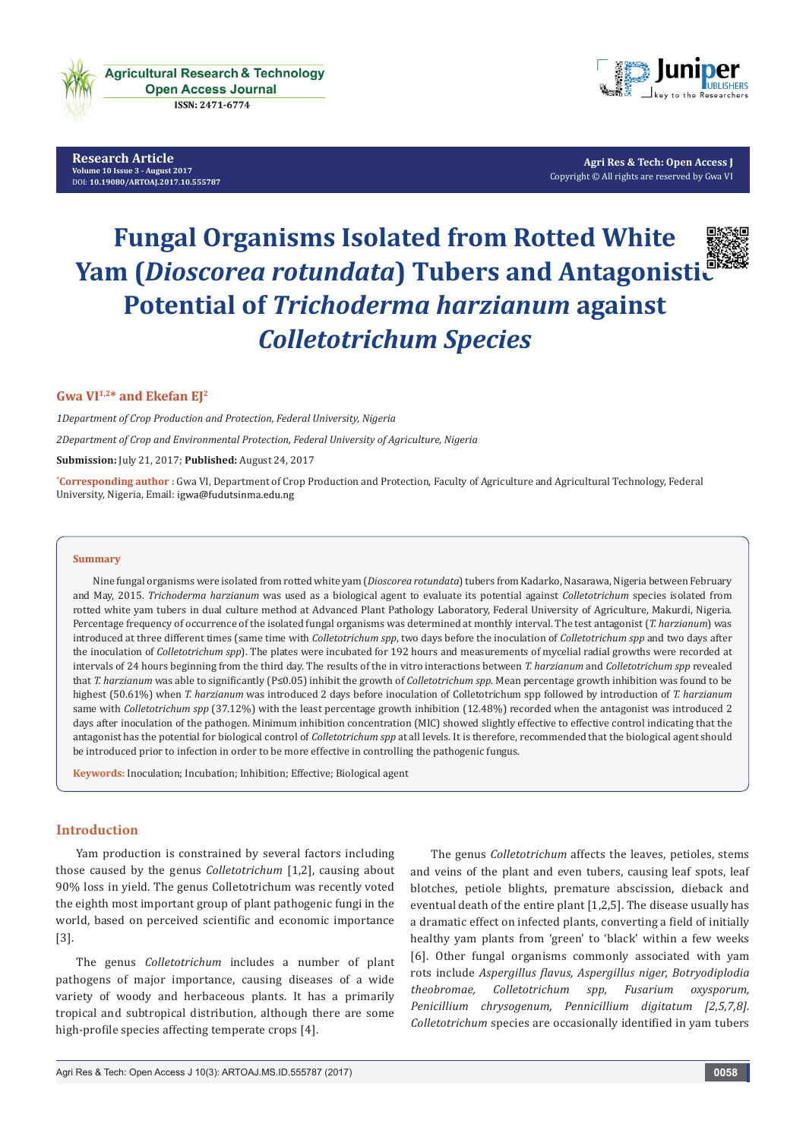

**Research Article Volume 10 Issue 3 - August 2017** [DOI:](http://dx.doi.org/10.19080/artoaj.2016.02.555590
) **[10.19080/ARTOAJ.2017.10.555787](http://dx.doi.org/10.19080/artoaj.2017.10.555787)**



**Agri Res & Tech: Open Access J** Copyright © All rights are reserved by Gwa VI

# **Fungal Organisms Isolated from Rotted White Yam (***Dioscorea rotundata***) Tubers and Antagonistic Potential of** *Trichoderma harzianum* **against**  *Colletotrichum Species*

# **Gwa VI1,2\* and Ekefan EJ2**

*1Department of Crop Production and Protection, Federal University, Nigeria*

*2Department of Crop and Environmental Protection, Federal University of Agriculture, Nigeria*

**Submission:** July 21, 2017; **Published:** August 24, 2017

**\* Corresponding author :** Gwa VI, Department of Crop Production and Protection, Faculty of Agriculture and Agricultural Technology, Federal University, Nigeria, Email: igwa@fudutsinma.edu.ng

#### **Summary**

Nine fungal organisms were isolated from rotted white yam (*Dioscorea rotundata*) tubers from Kadarko, Nasarawa, Nigeria between February and May, 2015. *Trichoderma harzianum* was used as a biological agent to evaluate its potential against *Colletotrichum* species isolated from rotted white yam tubers in dual culture method at Advanced Plant Pathology Laboratory, Federal University of Agriculture, Makurdi, Nigeria. Percentage frequency of occurrence of the isolated fungal organisms was determined at monthly interval. The test antagonist (*T. harzianum*) was introduced at three different times (same time with *Colletotrichum spp*, two days before the inoculation of *Colletotrichum spp* and two days after the inoculation of *Colletotrichum spp*). The plates were incubated for 192 hours and measurements of mycelial radial growths were recorded at intervals of 24 hours beginning from the third day. The results of the in vitro interactions between *T. harzianum* and *Colletotrichum spp* revealed that *T. harzianum* was able to significantly (P≤0.05) inhibit the growth of *Colletotrichum spp*. Mean percentage growth inhibition was found to be highest (50.61%) when *T. harzianum* was introduced 2 days before inoculation of Colletotrichum spp followed by introduction of *T. harzianum* same with *Colletotrichum spp* (37.12%) with the least percentage growth inhibition (12.48%) recorded when the antagonist was introduced 2 days after inoculation of the pathogen. Minimum inhibition concentration (MIC) showed slightly effective to effective control indicating that the antagonist has the potential for biological control of *Colletotrichum spp* at all levels. It is therefore, recommended that the biological agent should be introduced prior to infection in order to be more effective in controlling the pathogenic fungus.

**Keywords:** Inoculation; Incubation; Inhibition; Effective; Biological agent

# **Introduction**

Yam production is constrained by several factors including those caused by the genus *Colletotrichum* [1,2], causing about 90% loss in yield. The genus Colletotrichum was recently voted the eighth most important group of plant pathogenic fungi in the world, based on perceived scientific and economic importance [3].

The genus *Colletotrichum* includes a number of plant pathogens of major importance, causing diseases of a wide variety of woody and herbaceous plants. It has a primarily tropical and subtropical distribution, although there are some high-profile species affecting temperate crops [4].

The genus *Colletotrichum* affects the leaves, petioles, stems and veins of the plant and even tubers, causing leaf spots, leaf blotches, petiole blights, premature abscission, dieback and eventual death of the entire plant [1,2,5]. The disease usually has a dramatic effect on infected plants, converting a field of initially healthy yam plants from 'green' to 'black' within a few weeks [6]. Other fungal organisms commonly associated with yam rots include *Aspergillus flavus, Aspergillus niger, Botryodiplodia theobromae, Colletotrichum spp, Fusarium oxysporum, Penicillium chrysogenum, Pennicillium digitatum [2,5,7,8]. Colletotrichum* species are occasionally identified in yam tubers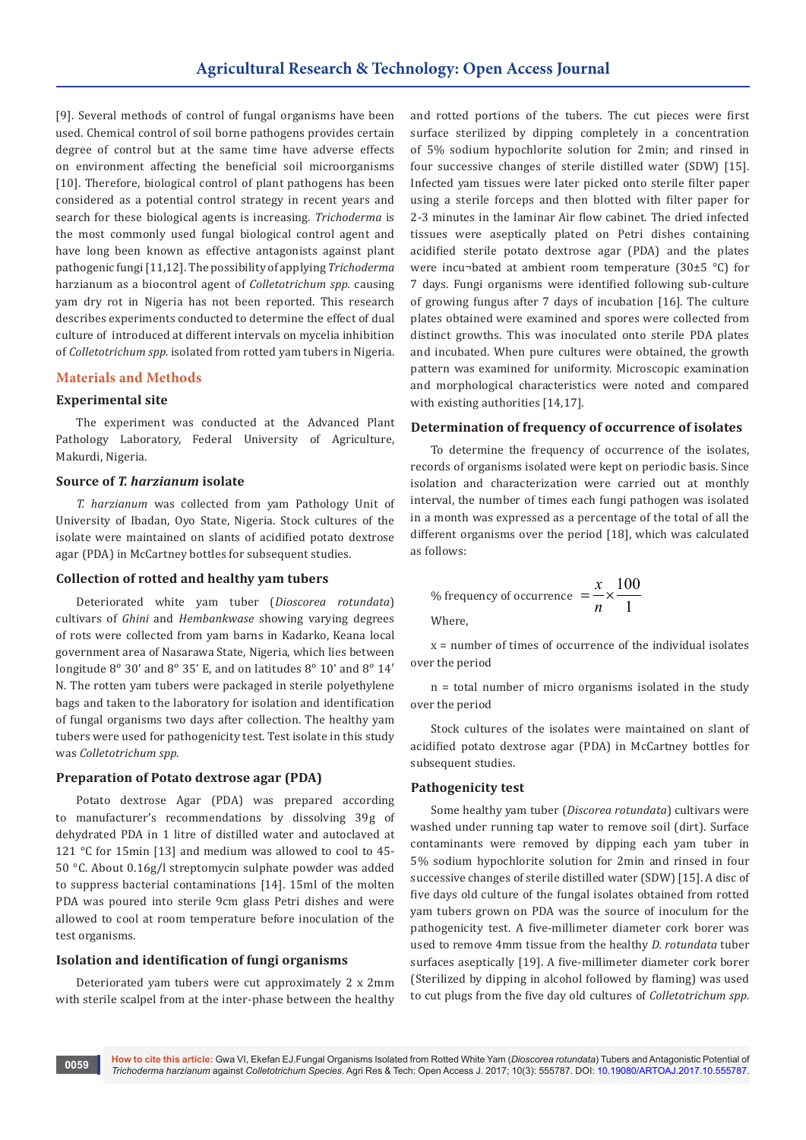[9]. Several methods of control of fungal organisms have been used. Chemical control of soil borne pathogens provides certain degree of control but at the same time have adverse effects on environment affecting the beneficial soil microorganisms [10]. Therefore, biological control of plant pathogens has been considered as a potential control strategy in recent years and search for these biological agents is increasing. *Trichoderma* is the most commonly used fungal biological control agent and have long been known as effective antagonists against plant pathogenic fungi [11,12]. The possibility of applying *Trichoderma*  harzianum as a biocontrol agent of *Colletotrichum spp.* causing yam dry rot in Nigeria has not been reported. This research describes experiments conducted to determine the effect of dual culture of introduced at different intervals on mycelia inhibition of *Colletotrichum spp.* isolated from rotted yam tubers in Nigeria.

#### **Materials and Methods**

### **Experimental site**

The experiment was conducted at the Advanced Plant Pathology Laboratory, Federal University of Agriculture, Makurdi, Nigeria.

#### **Source of** *T. harzianum* **isolate**

*T. harzianum* was collected from yam Pathology Unit of University of Ibadan, Oyo State, Nigeria. Stock cultures of the isolate were maintained on slants of acidified potato dextrose agar (PDA) in McCartney bottles for subsequent studies.

#### **Collection of rotted and healthy yam tubers**

Deteriorated white yam tuber (*Dioscorea rotundata*) cultivars of *Ghini* and *Hembankwase* showing varying degrees of rots were collected from yam barns in Kadarko, Keana local government area of Nasarawa State, Nigeria, which lies between longitude 8° 30' and 8° 35' E, and on latitudes 8° 10' and 8° 14' N. The rotten yam tubers were packaged in sterile polyethylene bags and taken to the laboratory for isolation and identification of fungal organisms two days after collection. The healthy yam tubers were used for pathogenicity test. Test isolate in this study was *Colletotrichum spp.*

#### **Preparation of Potato dextrose agar (PDA)**

Potato dextrose Agar (PDA) was prepared according to manufacturer's recommendations by dissolving 39g of dehydrated PDA in 1 litre of distilled water and autoclaved at 121 °C for 15min [13] and medium was allowed to cool to 45- 50 °C. About 0.16g/l streptomycin sulphate powder was added to suppress bacterial contaminations [14]. 15ml of the molten PDA was poured into sterile 9cm glass Petri dishes and were allowed to cool at room temperature before inoculation of the test organisms.

## **Isolation and identification of fungi organisms**

Deteriorated yam tubers were cut approximately 2 x 2mm with sterile scalpel from at the inter-phase between the healthy

and rotted portions of the tubers. The cut pieces were first surface sterilized by dipping completely in a concentration of 5% sodium hypochlorite solution for 2min; and rinsed in four successive changes of sterile distilled water (SDW) [15]. Infected yam tissues were later picked onto sterile filter paper using a sterile forceps and then blotted with filter paper for 2-3 minutes in the laminar Air flow cabinet. The dried infected tissues were aseptically plated on Petri dishes containing acidified sterile potato dextrose agar (PDA) and the plates were incu-bated at ambient room temperature (30 $\pm$ 5 °C) for 7 days. Fungi organisms were identified following sub-culture of growing fungus after 7 days of incubation [16]. The culture plates obtained were examined and spores were collected from distinct growths. This was inoculated onto sterile PDA plates and incubated. When pure cultures were obtained, the growth pattern was examined for uniformity. Microscopic examination and morphological characteristics were noted and compared with existing authorities [14,17].

#### **Determination of frequency of occurrence of isolates**

To determine the frequency of occurrence of the isolates, records of organisms isolated were kept on periodic basis. Since isolation and characterization were carried out at monthly interval, the number of times each fungi pathogen was isolated in a month was expressed as a percentage of the total of all the different organisms over the period [18], which was calculated as follows:

% frequency of occurrence 
$$
=\frac{x}{n} \times \frac{100}{1}
$$
  
Where,

x = number of times of occurrence of the individual isolates over the period

n = total number of micro organisms isolated in the study over the period

Stock cultures of the isolates were maintained on slant of acidified potato dextrose agar (PDA) in McCartney bottles for subsequent studies.

#### **Pathogenicity test**

Some healthy yam tuber (*Discorea rotundata*) cultivars were washed under running tap water to remove soil (dirt). Surface contaminants were removed by dipping each yam tuber in 5% sodium hypochlorite solution for 2min and rinsed in four successive changes of sterile distilled water (SDW) [15]. A disc of five days old culture of the fungal isolates obtained from rotted yam tubers grown on PDA was the source of inoculum for the pathogenicity test. A five-millimeter diameter cork borer was used to remove 4mm tissue from the healthy *D. rotundata* tuber surfaces aseptically [19]. A five-millimeter diameter cork borer (Sterilized by dipping in alcohol followed by flaming) was used to cut plugs from the five day old cultures of *Colletotrichum spp.*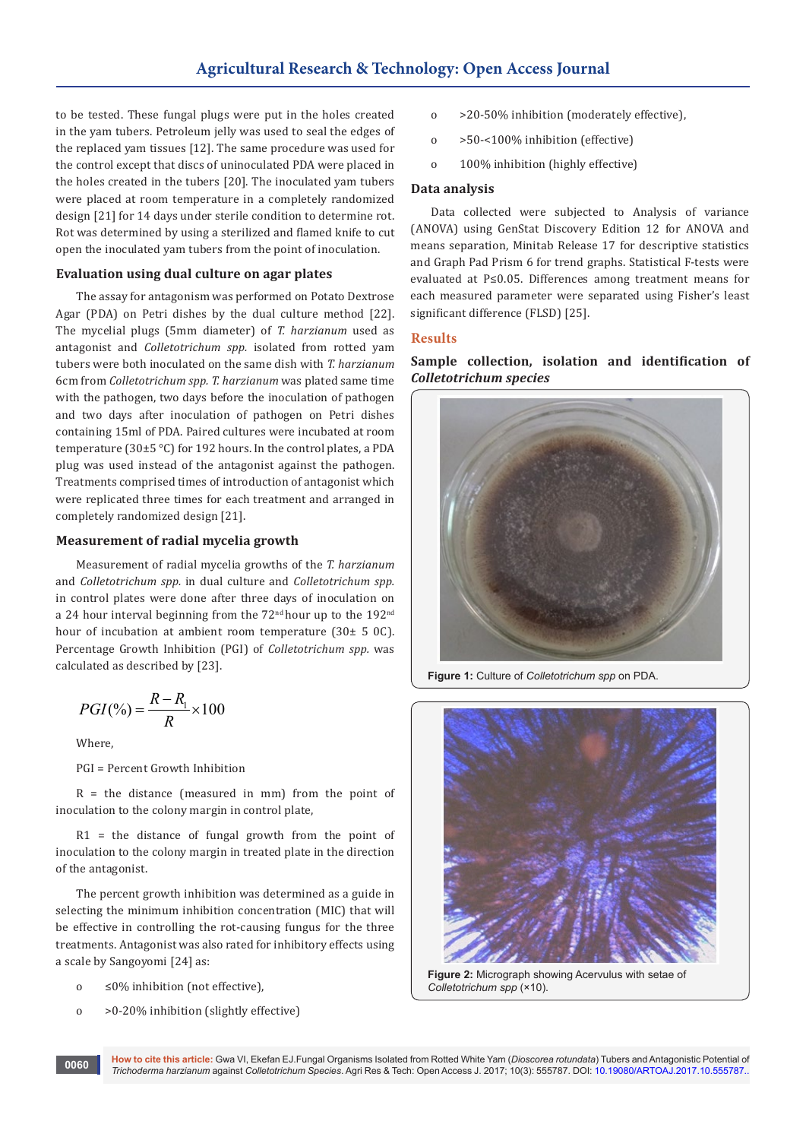to be tested. These fungal plugs were put in the holes created in the yam tubers. Petroleum jelly was used to seal the edges of the replaced yam tissues [12]. The same procedure was used for the control except that discs of uninoculated PDA were placed in the holes created in the tubers [20]. The inoculated yam tubers were placed at room temperature in a completely randomized design [21] for 14 days under sterile condition to determine rot. Rot was determined by using a sterilized and flamed knife to cut open the inoculated yam tubers from the point of inoculation.

# **Evaluation using dual culture on agar plates**

The assay for antagonism was performed on Potato Dextrose Agar (PDA) on Petri dishes by the dual culture method [22]. The mycelial plugs (5mm diameter) of *T. harzianum* used as antagonist and *Colletotrichum spp.* isolated from rotted yam tubers were both inoculated on the same dish with *T. harzianum* 6cm from *Colletotrichum spp. T. harzianum* was plated same time with the pathogen, two days before the inoculation of pathogen and two days after inoculation of pathogen on Petri dishes containing 15ml of PDA. Paired cultures were incubated at room temperature (30±5 °C) for 192 hours. In the control plates, a PDA plug was used instead of the antagonist against the pathogen. Treatments comprised times of introduction of antagonist which were replicated three times for each treatment and arranged in completely randomized design [21].

# **Measurement of radial mycelia growth**

Measurement of radial mycelia growths of the *T. harzianum* and *Colletotrichum spp.* in dual culture and *Colletotrichum spp.* in control plates were done after three days of inoculation on a 24 hour interval beginning from the 72<sup>nd</sup> hour up to the 192<sup>nd</sup> hour of incubation at ambient room temperature (30± 5 0C). Percentage Growth Inhibition (PGI) of *Colletotrichum spp.* was calculated as described by [23].

$$
PGI(\%)=\frac{R-R_1}{R}\times 100
$$

Where,

PGI = Percent Growth Inhibition

 $R =$  the distance (measured in mm) from the point of inoculation to the colony margin in control plate,

 $R1$  = the distance of fungal growth from the point of inoculation to the colony margin in treated plate in the direction of the antagonist.

The percent growth inhibition was determined as a guide in selecting the minimum inhibition concentration (MIC) that will be effective in controlling the rot-causing fungus for the three treatments. Antagonist was also rated for inhibitory effects using a scale by Sangoyomi [24] as:

- o ≤0% inhibition (not effective),
- o >0-20% inhibition (slightly effective)
- o >20-50% inhibition (moderately effective),
- o >50-<100% inhibition (effective)
- o 100% inhibition (highly effective)

# **Data analysis**

Data collected were subjected to Analysis of variance (ANOVA) using GenStat Discovery Edition 12 for ANOVA and means separation, Minitab Release 17 for descriptive statistics and Graph Pad Prism 6 for trend graphs. Statistical F-tests were evaluated at P≤0.05. Differences among treatment means for each measured parameter were separated using Fisher's least significant difference (FLSD) [25].

# **Results**

**Sample collection, isolation and identification of**  *Colletotrichum species*



**Figure 1:** Culture of *Colletotrichum spp* on PDA.



**Figure 2:** Micrograph showing Acervulus with setae of *Colletotrichum spp* (×10).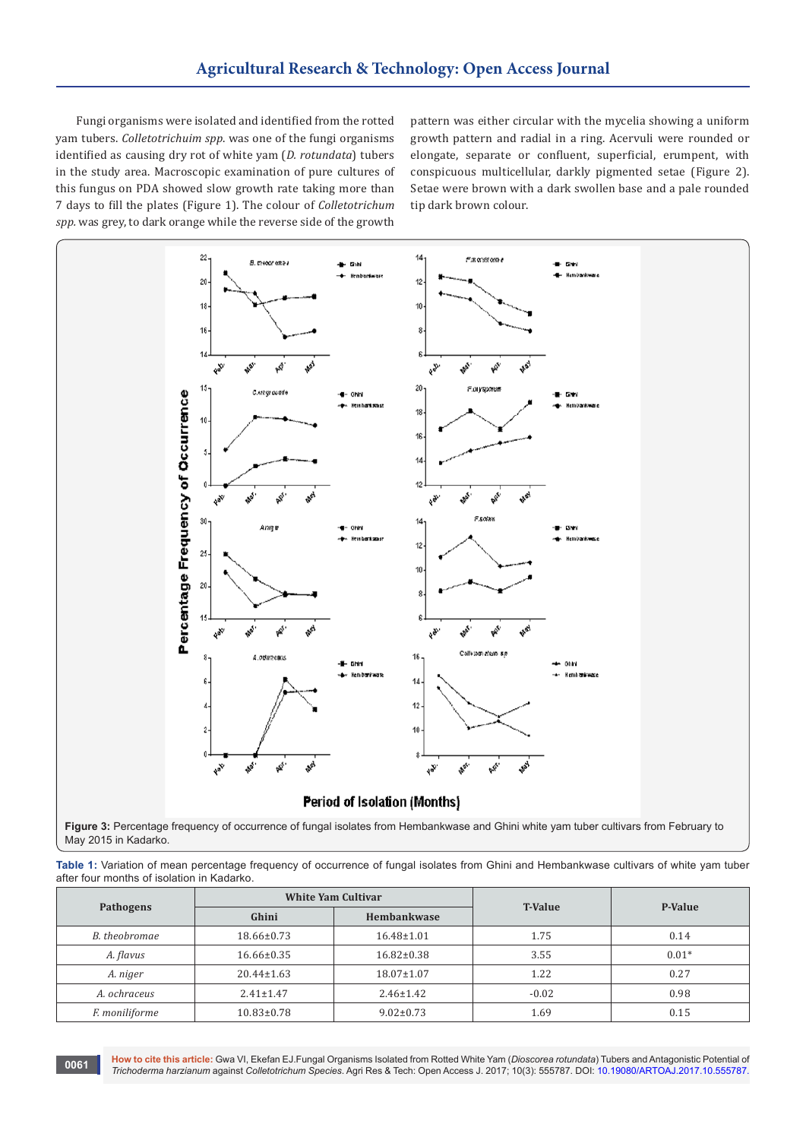Fungi organisms were isolated and identified from the rotted yam tubers. *Colletotrichuim spp*. was one of the fungi organisms identified as causing dry rot of white yam (*D. rotundata*) tubers in the study area. Macroscopic examination of pure cultures of this fungus on PDA showed slow growth rate taking more than 7 days to fill the plates (Figure 1). The colour of *Colletotrichum spp.* was grey, to dark orange while the reverse side of the growth

pattern was either circular with the mycelia showing a uniform growth pattern and radial in a ring. Acervuli were rounded or elongate, separate or confluent, superficial, erumpent, with conspicuous multicellular, darkly pigmented setae (Figure 2). Setae were brown with a dark swollen base and a pale rounded tip dark brown colour.



May 2015 in Kadarko.

**Table 1:** Variation of mean percentage frequency of occurrence of fungal isolates from Ghini and Hembankwase cultivars of white yam tuber after four months of isolation in Kadarko.

| Pathogens      | <b>White Yam Cultivar</b> |                  | <b>T-Value</b> | P-Value |
|----------------|---------------------------|------------------|----------------|---------|
|                | Ghini                     | Hembankwase      |                |         |
| B. theobromae  | $18.66 \pm 0.73$          | $16.48 \pm 1.01$ | 1.75           | 0.14    |
| A. flavus      | $16.66 \pm 0.35$          | $16.82 \pm 0.38$ | 3.55           | $0.01*$ |
| A. niger       | $20.44 \pm 1.63$          | $18.07 \pm 1.07$ | 1.22           | 0.27    |
| A. ochraceus   | $2.41 \pm 1.47$           | $2.46 \pm 1.42$  | $-0.02$        | 0.98    |
| F. moniliforme | $10.83 \pm 0.78$          | $9.02 \pm 0.73$  | 1.69           | 0.15    |

**How to cite this article:** Gwa VI, Ekefan EJ.Fungal Organisms Isolated from Rotted White Yam (*Dioscorea rotundata*) Tubers and Antagonistic Potential of *Trichoderma harzianum* against *Colletotrichum Species*. Agri Res & Tech: Open Access J. 2017; 10(3): 555787. DOI[: 10.19080/ARTOAJ.2017.10.555787.](http://dx.doi.org/10.19080/artoaj.2017.10.555787) **<sup>0061</sup>**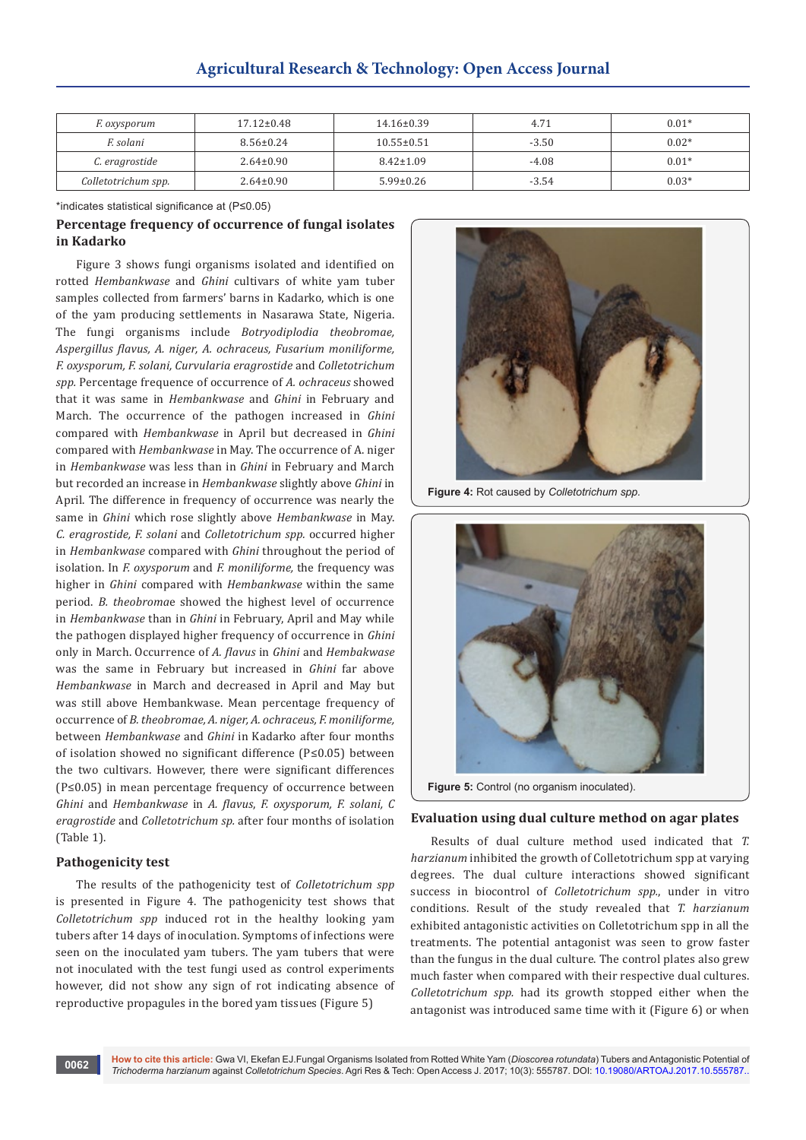| F. oxysporum        | $17.12 \pm 0.48$ | $14.16 \pm 0.39$ | 4.71    | $0.01*$ |
|---------------------|------------------|------------------|---------|---------|
| F. solani           | $8.56 \pm 0.24$  | $10.55 \pm 0.51$ | $-3.50$ | $0.02*$ |
| C. eragrostide      | $2.64 \pm 0.90$  | $8.42 \pm 1.09$  | $-4.08$ | $0.01*$ |
| Colletotrichum spp. | $2.64 \pm 0.90$  | $5.99 \pm 0.26$  | $-3.54$ | $0.03*$ |

\*indicates statistical significance at (P≤0.05)

# **Percentage frequency of occurrence of fungal isolates in Kadarko**

Figure 3 shows fungi organisms isolated and identified on rotted *Hembankwase* and *Ghini* cultivars of white yam tuber samples collected from farmers' barns in Kadarko, which is one of the yam producing settlements in Nasarawa State, Nigeria. The fungi organisms include *Botryodiplodia theobromae, Aspergillus flavus, A. niger, A. ochraceus, Fusarium moniliforme, F. oxysporum, F. solani, Curvularia eragrostide* and *Colletotrichum spp.* Percentage frequence of occurrence of *A. ochraceus* showed that it was same in *Hembankwase* and *Ghini* in February and March. The occurrence of the pathogen increased in *Ghini*  compared with *Hembankwase* in April but decreased in *Ghini*  compared with *Hembankwase* in May. The occurrence of A. niger in *Hembankwase* was less than in *Ghini* in February and March but recorded an increase in *Hembankwase* slightly above *Ghini* in April. The difference in frequency of occurrence was nearly the same in *Ghini* which rose slightly above *Hembankwase* in May. *C. eragrostide, F. solani* and *Colletotrichum spp.* occurred higher in *Hembankwase* compared with *Ghini* throughout the period of isolation. In *F. oxysporum* and *F. moniliforme,* the frequency was higher in *Ghini* compared with *Hembankwase* within the same period. *B. theobroma*e showed the highest level of occurrence in *Hembankwase* than in *Ghini* in February, April and May while the pathogen displayed higher frequency of occurrence in *Ghini*  only in March. Occurrence of *A. flavus* in *Ghini* and *Hembakwase*  was the same in February but increased in *Ghini* far above *Hembankwase* in March and decreased in April and May but was still above Hembankwase. Mean percentage frequency of occurrence of *B. theobromae, A. niger, A. ochraceus, F. moniliforme,* between *Hembankwase* and *Ghini* in Kadarko after four months of isolation showed no significant difference (P≤0.05) between the two cultivars. However, there were significant differences (P≤0.05) in mean percentage frequency of occurrence between *Ghini* and *Hembankwase* in *A. flavus*, *F. oxysporum, F. solani, C eragrostide* and *Colletotrichum sp.* after four months of isolation (Table 1).

## **Pathogenicity test**

The results of the pathogenicity test of *Colletotrichum spp*  is presented in Figure 4. The pathogenicity test shows that *Colletotrichum spp* induced rot in the healthy looking yam tubers after 14 days of inoculation. Symptoms of infections were seen on the inoculated yam tubers. The yam tubers that were not inoculated with the test fungi used as control experiments however, did not show any sign of rot indicating absence of reproductive propagules in the bored yam tissues (Figure 5)



**Figure 4:** Rot caused by *Colletotrichum spp.*



**Figure 5:** Control (no organism inoculated).

#### **Evaluation using dual culture method on agar plates**

Results of dual culture method used indicated that *T. harzianum* inhibited the growth of Colletotrichum spp at varying degrees. The dual culture interactions showed significant success in biocontrol of *Colletotrichum spp.*, under in vitro conditions. Result of the study revealed that *T. harzianum* exhibited antagonistic activities on Colletotrichum spp in all the treatments. The potential antagonist was seen to grow faster than the fungus in the dual culture. The control plates also grew much faster when compared with their respective dual cultures. *Colletotrichum spp.* had its growth stopped either when the antagonist was introduced same time with it (Figure 6) or when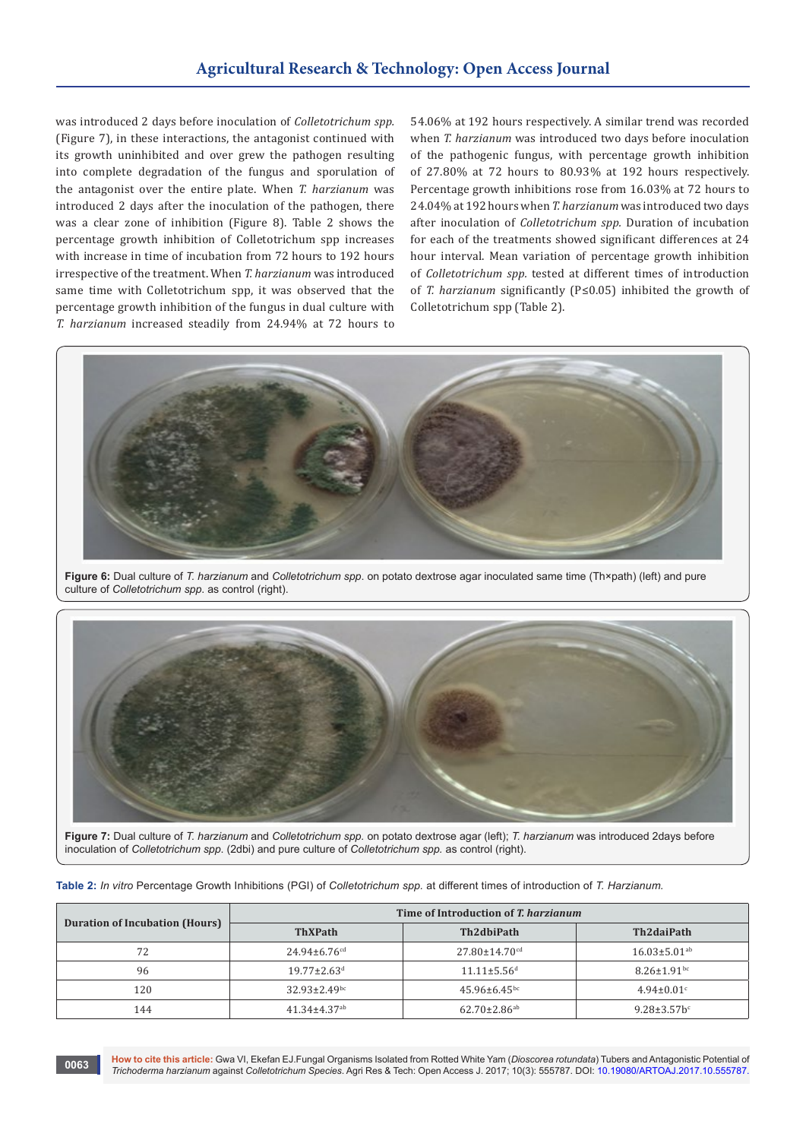was introduced 2 days before inoculation of *Colletotrichum spp.* (Figure 7), in these interactions, the antagonist continued with its growth uninhibited and over grew the pathogen resulting into complete degradation of the fungus and sporulation of the antagonist over the entire plate. When *T. harzianum* was introduced 2 days after the inoculation of the pathogen, there was a clear zone of inhibition (Figure 8). Table 2 shows the percentage growth inhibition of Colletotrichum spp increases with increase in time of incubation from 72 hours to 192 hours irrespective of the treatment. When *T. harzianum* was introduced same time with Colletotrichum spp, it was observed that the percentage growth inhibition of the fungus in dual culture with *T. harzianum* increased steadily from 24.94% at 72 hours to

54.06% at 192 hours respectively. A similar trend was recorded when *T. harzianum* was introduced two days before inoculation of the pathogenic fungus, with percentage growth inhibition of 27.80% at 72 hours to 80.93% at 192 hours respectively. Percentage growth inhibitions rose from 16.03% at 72 hours to 24.04% at 192 hours when *T. harzianum* was introduced two days after inoculation of *Colletotrichum spp.* Duration of incubation for each of the treatments showed significant differences at 24 hour interval. Mean variation of percentage growth inhibition of *Colletotrichum spp.* tested at different times of introduction of *T. harzianum* significantly (P≤0.05) inhibited the growth of Colletotrichum spp (Table 2).



**Figure 6:** Dual culture of *T. harzianum* and *Colletotrichum spp*. on potato dextrose agar inoculated same time (Th×path) (left) and pure culture of *Colletotrichum spp*. as control (right).



**Figure 7:** Dual culture of *T. harzianum* and *Colletotrichum spp.* on potato dextrose agar (left); *T. harzianum* was introduced 2days before inoculation of *Colletotrichum spp*. (2dbi) and pure culture of *Colletotrichum spp.* as control (right).

| Table 2: In vitro Percentage Growth Inhibitions (PGI) of Colletotrichum spp. at different times of introduction of T. Harzianum. |  |  |  |
|----------------------------------------------------------------------------------------------------------------------------------|--|--|--|
|                                                                                                                                  |  |  |  |

| <b>Duration of Incubation (Hours)</b> | Time of Introduction of T. harzianum |                                 |                                |  |
|---------------------------------------|--------------------------------------|---------------------------------|--------------------------------|--|
|                                       | <b>ThXPath</b>                       | Th2dbiPath                      | Th2daiPath                     |  |
|                                       | $24.94 \pm 6.76$ <sup>cd</sup>       | $27.80 \pm 14.70$ <sup>cd</sup> | $16.03 \pm 5.01$ <sup>ab</sup> |  |
| 96                                    | $19.77 \pm 2.63$ <sup>d</sup>        | $11.11 \pm 5.56$ <sup>d</sup>   | $8.26 \pm 1.91$ <sup>bc</sup>  |  |
| 120                                   | $32.93 \pm 2.49$ bc                  | $45.96 \pm 6.45$ <sup>bc</sup>  | $4.94 \pm 0.01$ <sup>c</sup>   |  |
| 144                                   | $41.34 \pm 4.37$ <sup>ab</sup>       | $62.70 \pm 2.86$ <sup>ab</sup>  | $9.28 \pm 3.57$ bc             |  |

**How to cite this article:** Gwa VI, Ekefan EJ.Fungal Organisms Isolated from Rotted White Yam (*Dioscorea rotundata*) Tubers and Antagonistic Potential of *Trichoderma harzianum* against *Colletotrichum Species*. Agri Res & Tech: Open Access J. 2017; 10(3): 555787. DOI[: 10.19080/ARTOAJ.2017.10.555787.](http://dx.doi.org/10.19080/artoaj.2017.10.555787) **<sup>0063</sup>**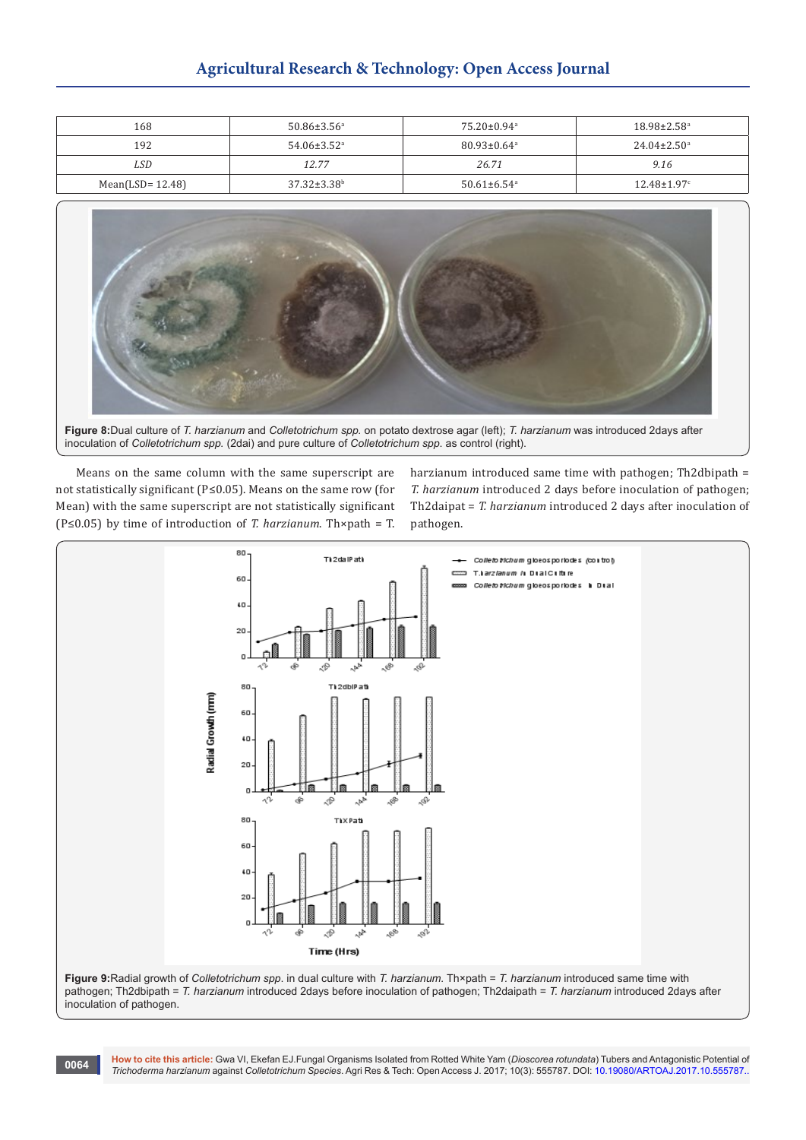# **Agricultural Research & Technology: Open Access Journal**

| 168                 | $50.86 \pm 3.56^{\circ}$      | $75.20 \pm 0.94$ <sup>a</sup> | $18.98 \pm 2.58$ <sup>a</sup> |
|---------------------|-------------------------------|-------------------------------|-------------------------------|
| 192                 | $54.06 \pm 3.52$ <sup>a</sup> | $80.93 \pm 0.64$ <sup>a</sup> | $24.04 \pm 2.50^{\circ}$      |
| LSD                 | 12.77                         | 26.71                         | 9.16                          |
| Mean(LSD= $12.48$ ) | $37.32 \pm 3.38$ <sup>b</sup> | $50.61 \pm 6.54$ <sup>a</sup> | $12.48 \pm 1.97$ <sup>c</sup> |



**Figure 8:**Dual culture of *T. harzianum* and *Colletotrichum spp.* on potato dextrose agar (left); *T. harzianum* was introduced 2days after inoculation of *Colletotrichum spp.* (2dai) and pure culture of *Colletotrichum spp*. as control (right).

Means on the same column with the same superscript are not statistically significant (P≤0.05). Means on the same row (for Mean) with the same superscript are not statistically significant (P≤0.05) by time of introduction of *T. harzianum*. Th×path = T.

harzianum introduced same time with pathogen; Th2dbipath = *T. harzianum* introduced 2 days before inoculation of pathogen; Th2daipat = *T. harzianum* introduced 2 days after inoculation of pathogen.



**Figure 9:**Radial growth of *Colletotrichum spp*. in dual culture with *T. harzianum.* Th×path = *T. harzianum* introduced same time with pathogen; Th2dbipath = *T. harzianum* introduced 2days before inoculation of pathogen; Th2daipath = *T. harzianum* introduced 2days after inoculation of pathogen.

**How to cite this article:** Gwa VI, Ekefan EJ.Fungal Organisms Isolated from Rotted White Yam (*Dioscorea rotundata*) Tubers and Antagonistic Potential of *Trichoderma harzianum* against *Colletotrichum Species*. Agri Res & Tech: Open Access J. 2017; 10(3): 555787. DOI: [10.19080/ARTOAJ.2017.10.555787.](http://dx.doi.org/10.19080/artoaj.2017.10.555787)[.](http://dx.doi.org/10.19080/artoaj.2017.10.555785) **<sup>0064</sup>**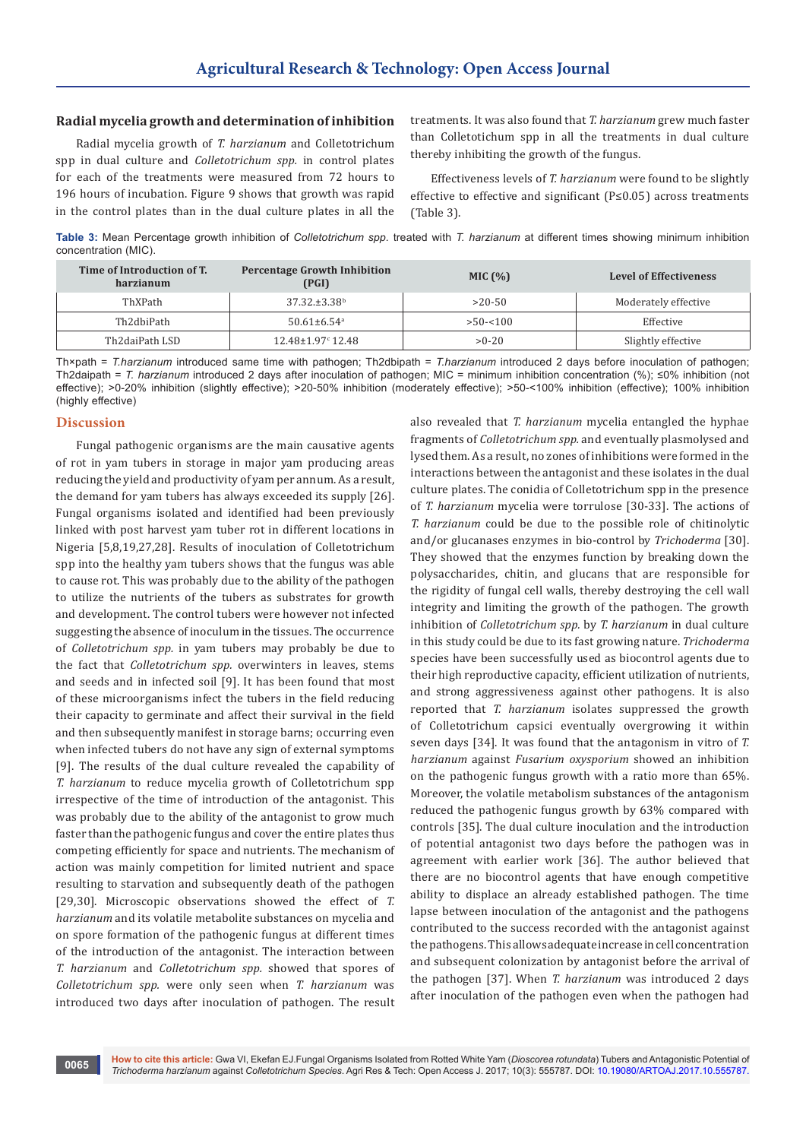#### **Radial mycelia growth and determination of inhibition**

Radial mycelia growth of *T. harzianum* and Colletotrichum spp in dual culture and *Colletotrichum spp.* in control plates for each of the treatments were measured from 72 hours to 196 hours of incubation. Figure 9 shows that growth was rapid in the control plates than in the dual culture plates in all the

treatments. It was also found that *T. harzianum* grew much faster than Colletotichum spp in all the treatments in dual culture thereby inhibiting the growth of the fungus.

Effectiveness levels of *T. harzianum* were found to be slightly effective to effective and significant (P≤0.05) across treatments (Table 3).

**Table 3:** Mean Percentage growth inhibition of *Colletotrichum spp.* treated with *T. harzianum* at different times showing minimum inhibition concentration (MIC).

| Time of Introduction of T.<br>harzianum | <b>Percentage Growth Inhibition</b><br>(PGI) | MIC $(\% )$ | <b>Level of Effectiveness</b> |
|-----------------------------------------|----------------------------------------------|-------------|-------------------------------|
| ThXPath                                 | $37.32 \pm 3.38$ <sup>b</sup>                | $>20-50$    | Moderately effective          |
| Th2dbiPath                              | $50.61 \pm 6.54$ <sup>a</sup>                | $>50 - 100$ | Effective                     |
| Th2daiPath LSD                          | $12.48 \pm 1.97$ <sup>c</sup> 12.48          | $>0-20$     | Slightly effective            |

Th×path = *T.harzianum* introduced same time with pathogen; Th2dbipath = *T.harzianum* introduced 2 days before inoculation of pathogen; Th2daipath = *T. harzianum* introduced 2 days after inoculation of pathogen; MIC = minimum inhibition concentration (%); ≤0% inhibition (not effective); >0-20% inhibition (slightly effective); >20-50% inhibition (moderately effective); >50-<100% inhibition (effective); 100% inhibition (highly effective)

#### **Discussion**

Fungal pathogenic organisms are the main causative agents of rot in yam tubers in storage in major yam producing areas reducing the yield and productivity of yam per annum. As a result, the demand for yam tubers has always exceeded its supply [26]. Fungal organisms isolated and identified had been previously linked with post harvest yam tuber rot in different locations in Nigeria [5,8,19,27,28]. Results of inoculation of Colletotrichum spp into the healthy yam tubers shows that the fungus was able to cause rot. This was probably due to the ability of the pathogen to utilize the nutrients of the tubers as substrates for growth and development. The control tubers were however not infected suggesting the absence of inoculum in the tissues. The occurrence of *Colletotrichum spp.* in yam tubers may probably be due to the fact that *Colletotrichum spp.* overwinters in leaves, stems and seeds and in infected soil [9]. It has been found that most of these microorganisms infect the tubers in the field reducing their capacity to germinate and affect their survival in the field and then subsequently manifest in storage barns; occurring even when infected tubers do not have any sign of external symptoms [9]. The results of the dual culture revealed the capability of *T. harzianum* to reduce mycelia growth of Colletotrichum spp irrespective of the time of introduction of the antagonist. This was probably due to the ability of the antagonist to grow much faster than the pathogenic fungus and cover the entire plates thus competing efficiently for space and nutrients. The mechanism of action was mainly competition for limited nutrient and space resulting to starvation and subsequently death of the pathogen [29,30]. Microscopic observations showed the effect of *T. harzianum* and its volatile metabolite substances on mycelia and on spore formation of the pathogenic fungus at different times of the introduction of the antagonist. The interaction between *T. harzianum* and *Colletotrichum spp.* showed that spores of *Colletotrichum spp.* were only seen when *T. harzianum* was introduced two days after inoculation of pathogen. The result

also revealed that *T. harzianum* mycelia entangled the hyphae fragments of *Colletotrichum spp.* and eventually plasmolysed and lysed them. As a result, no zones of inhibitions were formed in the interactions between the antagonist and these isolates in the dual culture plates. The conidia of Colletotrichum spp in the presence of *T. harzianum* mycelia were torrulose [30-33]. The actions of *T. harzianum* could be due to the possible role of chitinolytic and/or glucanases enzymes in bio-control by *Trichoderma* [30]. They showed that the enzymes function by breaking down the polysaccharides, chitin, and glucans that are responsible for the rigidity of fungal cell walls, thereby destroying the cell wall integrity and limiting the growth of the pathogen. The growth inhibition of *Colletotrichum spp.* by *T. harzianum* in dual culture in this study could be due to its fast growing nature. *Trichoderma*  species have been successfully used as biocontrol agents due to their high reproductive capacity, efficient utilization of nutrients, and strong aggressiveness against other pathogens. It is also reported that *T. harzianum* isolates suppressed the growth of Colletotrichum capsici eventually overgrowing it within seven days [34]. It was found that the antagonism in vitro of *T. harzianum* against *Fusarium oxysporium* showed an inhibition on the pathogenic fungus growth with a ratio more than 65%. Moreover, the volatile metabolism substances of the antagonism reduced the pathogenic fungus growth by 63% compared with controls [35]. The dual culture inoculation and the introduction of potential antagonist two days before the pathogen was in agreement with earlier work [36]. The author believed that there are no biocontrol agents that have enough competitive ability to displace an already established pathogen. The time lapse between inoculation of the antagonist and the pathogens contributed to the success recorded with the antagonist against the pathogens. This allows adequate increase in cell concentration and subsequent colonization by antagonist before the arrival of the pathogen [37]. When *T. harzianum* was introduced 2 days after inoculation of the pathogen even when the pathogen had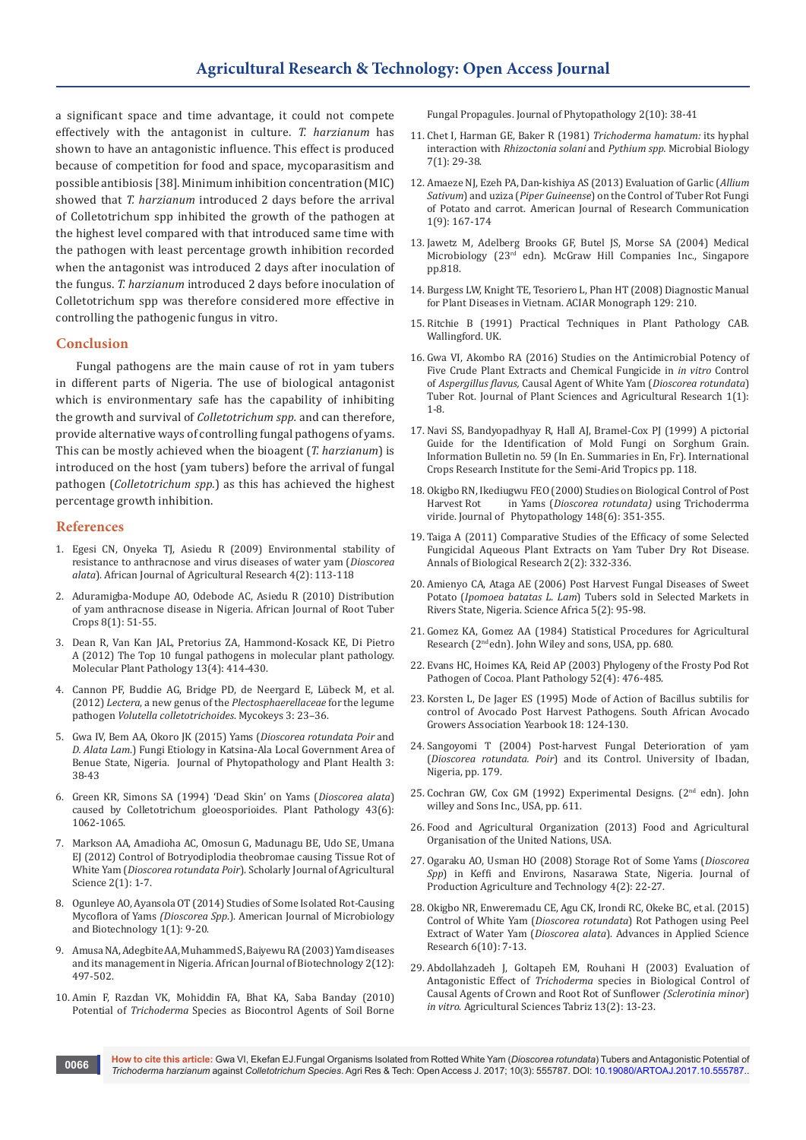a significant space and time advantage, it could not compete effectively with the antagonist in culture. *T. harzianum* has shown to have an antagonistic influence. This effect is produced because of competition for food and space, mycoparasitism and possible antibiosis [38]. Minimum inhibition concentration (MIC) showed that *T. harzianum* introduced 2 days before the arrival of Colletotrichum spp inhibited the growth of the pathogen at the highest level compared with that introduced same time with the pathogen with least percentage growth inhibition recorded when the antagonist was introduced 2 days after inoculation of the fungus. *T. harzianum* introduced 2 days before inoculation of Colletotrichum spp was therefore considered more effective in controlling the pathogenic fungus in vitro.

#### **Conclusion**

Fungal pathogens are the main cause of rot in yam tubers in different parts of Nigeria. The use of biological antagonist which is environmentary safe has the capability of inhibiting the growth and survival of *Colletotrichum spp.* and can therefore, provide alternative ways of controlling fungal pathogens of yams. This can be mostly achieved when the bioagent (*T. harzianum*) is introduced on the host (yam tubers) before the arrival of fungal pathogen (*Colletotrichum spp.*) as this has achieved the highest percentage growth inhibition.

#### **References**

- 1. [Egesi CN, Onyeka TJ, Asiedu R \(2009\) Environmental stability of](http://www.academicjournals.org/journal/AJAR/article-abstract/9188D0337938)  [resistance to anthracnose and virus diseases of water yam \(](http://www.academicjournals.org/journal/AJAR/article-abstract/9188D0337938)*Dioscorea alata*[\). African Journal of Agricultural Research 4\(2\): 113-118](http://www.academicjournals.org/journal/AJAR/article-abstract/9188D0337938)
- 2. Aduramigba-Modupe AO, Odebode AC, Asiedu R (2010) Distribution of yam anthracnose disease in Nigeria. African Journal of Root Tuber Crops 8(1): 51-55.
- 3. [Dean R, Van Kan JAL, Pretorius ZA, Hammond-Kosack KE, Di Pietro](https://www.ncbi.nlm.nih.gov/pubmed/22471698)  [A \(2012\) The Top 10 fungal pathogens in molecular plant pathology.](https://www.ncbi.nlm.nih.gov/pubmed/22471698)  [Molecular Plant Pathology 13\(4\): 414-430.](https://www.ncbi.nlm.nih.gov/pubmed/22471698)
- 4. [Cannon PF, Buddie AG, Bridge PD, de Neergard E, Lübeck M, et al.](https://mycokeys.pensoft.net/article/1183/)  (2012) *Lectera*, a new genus of the *[Plectosphaerellaceae](https://mycokeys.pensoft.net/article/1183/)* for the legume pathogen *[Volutella colletotrichoides](https://mycokeys.pensoft.net/article/1183/)*. Mycokeys 3: 23–36.
- 5. Gwa IV, Bem AA, Okoro JK (2015) Yams (*Dioscorea rotundata Poir* and *D. Alata Lam*.) Fungi Etiology in Katsina-Ala Local Government Area of Benue State, Nigeria. Journal of Phytopathology and Plant Health 3: 38-43
- 6. [Green KR, Simons SA \(1994\) 'Dead Skin' on Yams \(](http://onlinelibrary.wiley.com/doi/10.1111/j.1365-3059.1994.tb01660.x/abstract)*Dioscorea alata*) [caused by Colletotrichum gloeosporioides. Plant Pathology 43\(6\):](http://onlinelibrary.wiley.com/doi/10.1111/j.1365-3059.1994.tb01660.x/abstract)  [1062-1065.](http://onlinelibrary.wiley.com/doi/10.1111/j.1365-3059.1994.tb01660.x/abstract)
- 7. Markson AA, Amadioha AC, Omosun G, Madunagu BE, Udo SE, Umana EJ (2012) Control of Botryodiplodia theobromae causing Tissue Rot of White Yam (*Dioscorea rotundata Poir*). Scholarly Journal of Agricultural Science 2(1): 1-7.
- 8. [Ogunleye AO, Ayansola OT \(2014\) Studies of Some Isolated Rot-Causing](http://www.aascit.org/journal/archive2?journalId=919&paperId=760)  Mycoflora of Yams *(Dioscorea Spp*[.\). American Journal of Microbiology](http://www.aascit.org/journal/archive2?journalId=919&paperId=760)  [and Biotechnology 1\(1\): 9-20.](http://www.aascit.org/journal/archive2?journalId=919&paperId=760)
- 9. [Amusa NA, Adegbite AA, Muhammed S, Baiyewu RA \(2003\) Yam diseases](https://www.ajol.info/index.php/ajb/article/view/14878)  [and its management in Nigeria. African Journal of Biotechnology 2\(12\):](https://www.ajol.info/index.php/ajb/article/view/14878)  [497-502.](https://www.ajol.info/index.php/ajb/article/view/14878)
- 10. [Amin F, Razdan VK, Mohiddin FA, Bhat KA, Saba Banday \(2010\)](https://scienceflora.org/journals/index.php/jp/article/view/2179)  Potential of *Trichoderma* [Species as Biocontrol Agents of Soil Borne](https://scienceflora.org/journals/index.php/jp/article/view/2179)

[Fungal Propagules. Journal of Phytopathology 2\(10\): 38-41](https://scienceflora.org/journals/index.php/jp/article/view/2179)

- 11. [Chet I, Harman GE, Baker R \(1981\)](https://www.jstor.org/stable/4250642) *Trichoderma hamatum:* its hyphal interaction with *[Rhizoctonia solani](https://www.jstor.org/stable/4250642)* and *Pythium spp.* Microbial Biology [7\(1\): 29-38.](https://www.jstor.org/stable/4250642)
- 12. Amaeze NJ, Ezeh PA, Dan-kishiya AS (2013) Evaluation of Garlic (*Allium Sativum*) and uziza (*Piper Guineense*) on the Control of Tuber Rot Fungi of Potato and carrot. American Journal of Research Communication 1(9): 167-174
- 13. Jawetz M, Adelberg Brooks GF, Butel JS, Morse SA (2004) Medical Microbiology (23rd edn). McGraw Hill Companies Inc., Singapore pp.818.
- 14. [Burgess LW, Knight TE, Tesoriero L, Phan HT \(2008\) Diagnostic Manual](http://aciar.gov.au/publication/mn129)  [for Plant Diseases in Vietnam. ACIAR Monograph 129: 210.](http://aciar.gov.au/publication/mn129)
- 15. Ritchie B (1991) Practical Techniques in Plant Pathology CAB. Wallingford. UK.
- 16. Gwa VI, Akombo RA (2016) Studies on the Antimicrobial Potency of Five Crude Plant Extracts and Chemical Fungicide in *in vitro* Control of *Aspergillus flavus,* Causal Agent of White Yam (*Dioscorea rotundata*) Tuber Rot. Journal of Plant Sciences and Agricultural Research 1(1): 1-8.
- 17. [Navi SS, Bandyopadhyay R, Hall AJ, Bramel-Cox PJ \(1999\) A pictorial](http://oar.icrisat.org/1948/)  [Guide for the Identification of Mold Fungi on Sorghum Grain.](http://oar.icrisat.org/1948/)  [Information Bulletin no. 59 \(In En. Summaries in En, Fr\). International](http://oar.icrisat.org/1948/)  [Crops Research Institute for the Semi-Arid Tropics pp. 118.](http://oar.icrisat.org/1948/)
- 18. Okigbo RN, Ikediugwu FEO (2000) Studies on Biological Control of Post<br>Harvest Rot in Yams (Dioscorea rotundata) using Trichoderrma in Yams (*Dioscorea rotundata*) using Trichoderrma [viride. Journal of Phytopathology 148\(6\): 351-355.](http://onlinelibrary.wiley.com/doi/10.1046/j.1439-0434.2000.00515.x/abstract)
- 19. Taiga A (2011) Comparative Studies of the Efficacy of some Selected Fungicidal Aqueous Plant Extracts on Yam Tuber Dry Rot Disease. Annals of Biological Research 2(2): 332-336.
- 20. Amienyo CA, Ataga AE (2006) Post Harvest Fungal Diseases of Sweet Potato (*Ipomoea batatas L. Lam*) Tubers sold in Selected Markets in Rivers State, Nigeria. Science Africa 5(2): 95-98.
- 21. [Gomez KA, Gomez AA \(1984\) Statistical Procedures for Agricultural](http://pdf.usaid.gov/pdf_docs/PNAAR208.pdf)  Research (2<sup>nd</sup> edn). John Wiley and sons, USA, pp. 680.
- 22. [Evans HC, Hoimes KA, Reid AP \(2003\) Phylogeny of the Frosty Pod Rot](http://onlinelibrary.wiley.com/doi/10.1046/j.1365-3059.2003.00867.x/abstract)  [Pathogen of Cocoa. Plant Pathology 52\(4\): 476-485.](http://onlinelibrary.wiley.com/doi/10.1046/j.1365-3059.2003.00867.x/abstract)
- 23. [Korsten L, De Jager ES \(1995\) Mode of Action of Bacillus subtilis for](http://agris.fao.org/agris-search/search.do?recordID=ZA9600511)  [control of Avocado Post Harvest Pathogens. South African Avocado](http://agris.fao.org/agris-search/search.do?recordID=ZA9600511)  [Growers Association Yearbook 18: 124-130.](http://agris.fao.org/agris-search/search.do?recordID=ZA9600511)
- 24. Sangoyomi T (2004) Post-harvest Fungal Deterioration of yam (*Dioscorea rotundata. Poir*) and its Control. University of Ibadan, Nigeria, pp. 179.
- 25. Cochran GW, Cox GM (1992) Experimental Designs. (2nd edn). John willey and Sons Inc., USA, pp. 611.
- 26. Food and Agricultural Organization (2013) Food and Agricultural Organisation of the United Nations, USA.
- 27. [Ogaraku AO, Usman HO \(2008\) Storage Rot of Some Yams \(](http://www.scirp.org/(S(vtj3fa45qm1ean45vvffcz55))/reference/ReferencesPapers.aspx?ReferenceID=1514782)*Dioscorea Spp*[\) in Keffi and Environs, Nasarawa State, Nigeria. Journal of](http://www.scirp.org/(S(vtj3fa45qm1ean45vvffcz55))/reference/ReferencesPapers.aspx?ReferenceID=1514782)  [Production Agriculture and Technology 4\(2\): 22-27.](http://www.scirp.org/(S(vtj3fa45qm1ean45vvffcz55))/reference/ReferencesPapers.aspx?ReferenceID=1514782)
- 28. Okigbo NR, Enweremadu CE, Agu CK, Irondi RC, Okeke BC, et al. (2015) Control of White Yam (*Dioscorea rotundata*) Rot Pathogen using Peel Extract of Water Yam (*Dioscorea alata*). Advances in Applied Science Research 6(10): 7-13.
- 29. [Abdollahzadeh J, Goltapeh EM, Rouhani H \(2003\) Evaluation of](http://en.journals.sid.ir/ViewPaper.aspx?ID=46907)  Antagonistic Effect of *Trichoderma* [species in Biological Control of](http://en.journals.sid.ir/ViewPaper.aspx?ID=46907)  [Causal Agents of Crown and Root Rot of Sunflower](http://en.journals.sid.ir/ViewPaper.aspx?ID=46907) *(Sclerotinia minor*) *in vitro*[. Agricultural Sciences Tabriz 13\(2\): 13-23.](http://en.journals.sid.ir/ViewPaper.aspx?ID=46907)